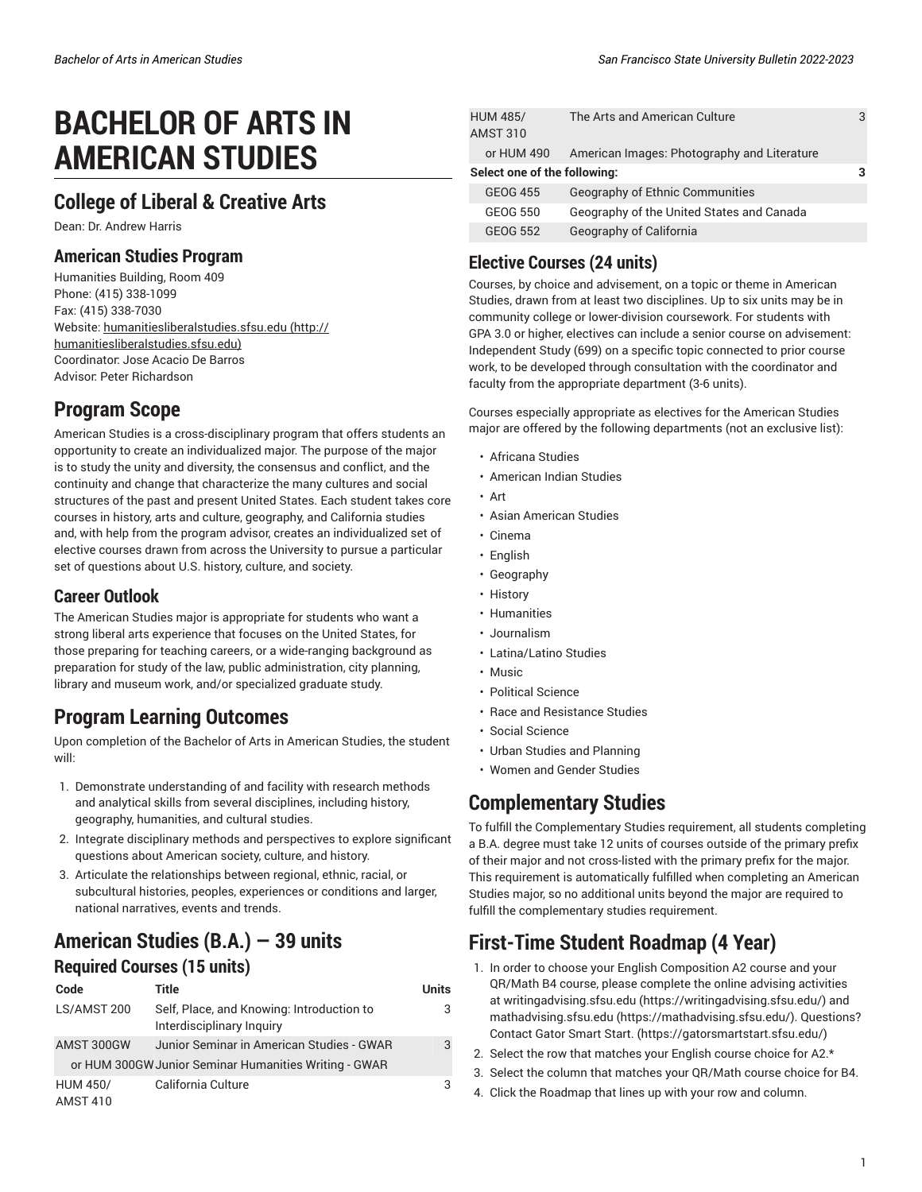# **BACHELOR OF ARTS IN AMERICAN STUDIES**

## **College of Liberal & Creative Arts**

Dean: Dr. Andrew Harris

#### **American Studies Program**

Humanities Building, Room 409 Phone: (415) 338-1099 Fax: (415) 338-7030 Website: [humanitiesliberalstudies.sfsu.edu \(http://](http://humanitiesliberalstudies.sfsu.edu) [humanitiesliberalstudies.sfsu.edu\)](http://humanitiesliberalstudies.sfsu.edu) Coordinator: Jose Acacio De Barros Advisor: Peter Richardson

## **Program Scope**

American Studies is a cross-disciplinary program that offers students an opportunity to create an individualized major. The purpose of the major is to study the unity and diversity, the consensus and conflict, and the continuity and change that characterize the many cultures and social structures of the past and present United States. Each student takes core courses in history, arts and culture, geography, and California studies and, with help from the program advisor, creates an individualized set of elective courses drawn from across the University to pursue a particular set of questions about U.S. history, culture, and society.

#### **Career Outlook**

The American Studies major is appropriate for students who want a strong liberal arts experience that focuses on the United States, for those preparing for teaching careers, or a wide-ranging background as preparation for study of the law, public administration, city planning, library and museum work, and/or specialized graduate study.

## **Program Learning Outcomes**

Upon completion of the Bachelor of Arts in American Studies, the student will:

- 1. Demonstrate understanding of and facility with research methods and analytical skills from several disciplines, including history, geography, humanities, and cultural studies.
- 2. Integrate disciplinary methods and perspectives to explore significant questions about American society, culture, and history.
- 3. Articulate the relationships between regional, ethnic, racial, or subcultural histories, peoples, experiences or conditions and larger, national narratives, events and trends.

### **American Studies (B.A.) — 39 units Required Courses (15 units)**

| Code            | Title                                                                  | Units |
|-----------------|------------------------------------------------------------------------|-------|
| LS/AMST 200     | Self, Place, and Knowing: Introduction to<br>Interdisciplinary Inquiry |       |
| AMST 300GW      | Junior Seminar in American Studies - GWAR                              | 3     |
|                 | or HUM 300GW Junior Seminar Humanities Writing - GWAR                  |       |
| <b>HUM 450/</b> | California Culture                                                     | 3     |
| <b>AMST 410</b> |                                                                        |       |

|                              | <b>HUM 485/</b> | The Arts and American Culture               | 3 |
|------------------------------|-----------------|---------------------------------------------|---|
|                              | <b>AMST 310</b> |                                             |   |
|                              | or HUM 490      | American Images: Photography and Literature |   |
| Select one of the following: |                 |                                             |   |
|                              | <b>GEOG 455</b> | <b>Geography of Ethnic Communities</b>      |   |
|                              | GEOG 550        | Geography of the United States and Canada   |   |
|                              | GEOG 552        | Geography of California                     |   |

#### **Elective Courses (24 units)**

Courses, by choice and advisement, on a topic or theme in American Studies, drawn from at least two disciplines. Up to six units may be in community college or lower-division coursework. For students with GPA 3.0 or higher, electives can include a senior course on advisement: Independent Study (699) on a specific topic connected to prior course work, to be developed through consultation with the coordinator and faculty from the appropriate department (3-6 units).

Courses especially appropriate as electives for the American Studies major are offered by the following departments (not an exclusive list):

- Africana Studies
- American Indian Studies
- Art
- Asian American Studies
- Cinema
- English
- Geography
- History
- Humanities
- Journalism
- Latina/Latino Studies
- Music
- Political Science
- Race and Resistance Studies
- Social Science
- Urban Studies and Planning
- Women and Gender Studies

## **Complementary Studies**

To fulfill the Complementary Studies requirement, all students completing a B.A. degree must take 12 units of courses outside of the primary prefix of their major and not cross-listed with the primary prefix for the major. This requirement is automatically fulfilled when completing an American Studies major, so no additional units beyond the major are required to fulfill the complementary studies requirement.

# **First-Time Student Roadmap (4 Year)**

- 1. In order to choose your English Composition A2 course and your QR/Math B4 course, please complete the online advising activities at [writingadvising.sfsu.edu \(https://writingadvising.sfsu.edu/](https://writingadvising.sfsu.edu/)) and [mathadvising.sfsu.edu \(https://mathadvising.sfsu.edu/](https://mathadvising.sfsu.edu/)). Questions? Contact Gator [Smart](https://gatorsmartstart.sfsu.edu/) Start. ([https://gatorsmartstart.sfsu.edu/\)](https://gatorsmartstart.sfsu.edu/)
- 2. Select the row that matches your English course choice for A2.\*
- 3. Select the column that matches your QR/Math course choice for B4.
- 4. Click the Roadmap that lines up with your row and column.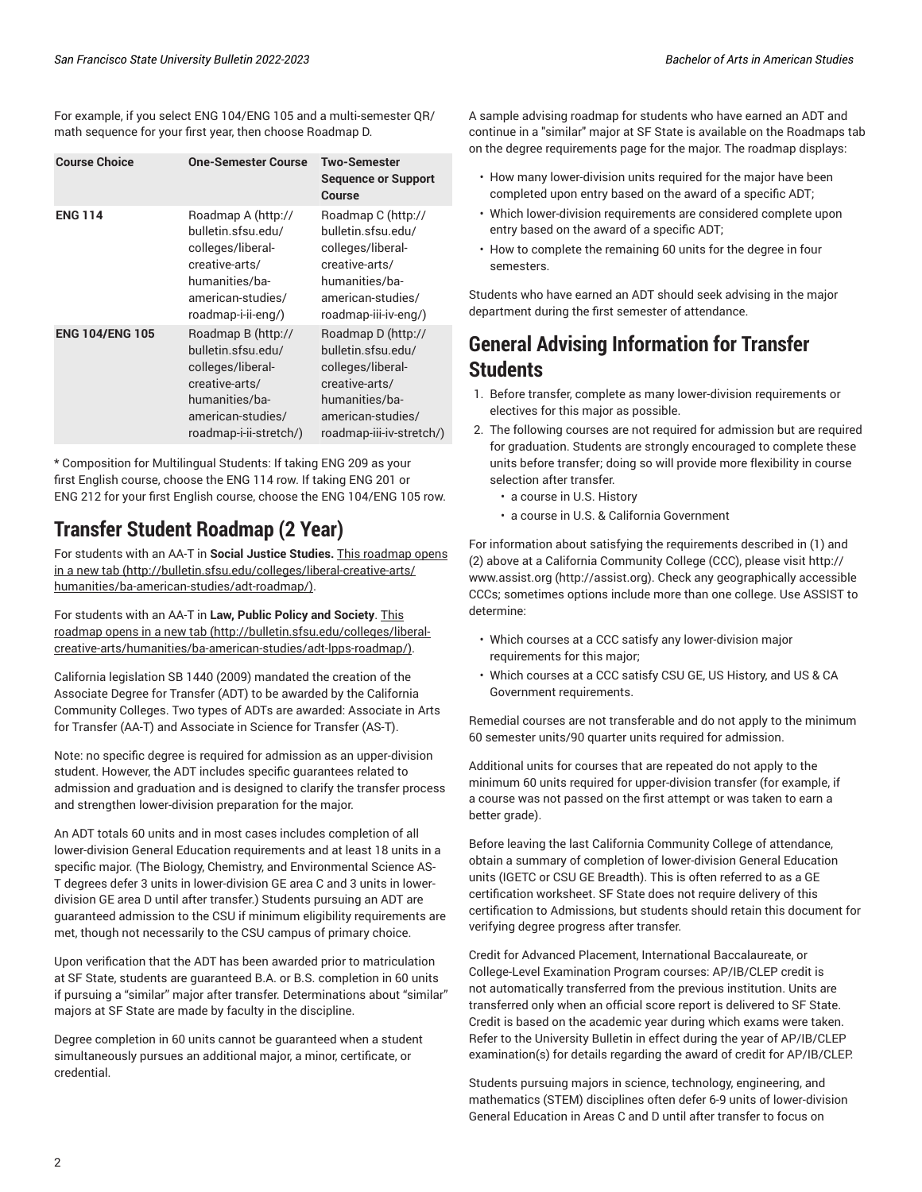For example, if you select ENG 104/ENG 105 and a multi-semester QR/ math sequence for your first year, then choose Roadmap D.

| <b>Course Choice</b>   | <b>One-Semester Course</b>                                                                                                                       | Two-Semester<br><b>Sequence or Support</b><br>Course                                                                                               |
|------------------------|--------------------------------------------------------------------------------------------------------------------------------------------------|----------------------------------------------------------------------------------------------------------------------------------------------------|
| <b>ENG 114</b>         | Roadmap A (http://<br>bulletin.sfsu.edu/<br>colleges/liberal-<br>creative-arts/<br>humanities/ba-<br>american-studies/<br>roadmap-i-ii-eng/)     | Roadmap C (http://<br>bulletin.sfsu.edu/<br>colleges/liberal-<br>creative-arts/<br>humanities/ba-<br>american-studies/<br>roadmap-iii-iv-eng/)     |
| <b>ENG 104/ENG 105</b> | Roadmap B (http://<br>bulletin.sfsu.edu/<br>colleges/liberal-<br>creative-arts/<br>humanities/ba-<br>american-studies/<br>roadmap-i-ii-stretch/) | Roadmap D (http://<br>bulletin.sfsu.edu/<br>colleges/liberal-<br>creative-arts/<br>humanities/ba-<br>american-studies/<br>roadmap-iii-iv-stretch/) |

\* Composition for Multilingual Students: If taking ENG 209 as your first English course, choose the ENG 114 row. If taking ENG 201 or ENG 212 for your first English course, choose the ENG 104/ENG 105 row.

## **Transfer Student Roadmap (2 Year)**

For students with an AA-T in **Social Justice Studies.** This [roadmap](http://bulletin.sfsu.edu/colleges/liberal-creative-arts/humanities/ba-american-studies/adt-roadmap/) opens [in a new tab](http://bulletin.sfsu.edu/colleges/liberal-creative-arts/humanities/ba-american-studies/adt-roadmap/) [\(http://bulletin.sfsu.edu/colleges/liberal-creative-arts/](http://bulletin.sfsu.edu/colleges/liberal-creative-arts/humanities/ba-american-studies/adt-roadmap/) [humanities/ba-american-studies/adt-roadmap/](http://bulletin.sfsu.edu/colleges/liberal-creative-arts/humanities/ba-american-studies/adt-roadmap/)).

For students with an AA-T in **Law, Public Policy and Society**. [This](http://bulletin.sfsu.edu/colleges/liberal-creative-arts/humanities/ba-american-studies/adt-lpps-roadmap/) [roadmap](http://bulletin.sfsu.edu/colleges/liberal-creative-arts/humanities/ba-american-studies/adt-lpps-roadmap/) opens in a new tab [\(http://bulletin.sfsu.edu/colleges/liberal](http://bulletin.sfsu.edu/colleges/liberal-creative-arts/humanities/ba-american-studies/adt-lpps-roadmap/)[creative-arts/humanities/ba-american-studies/adt-lpps-roadmap/\)](http://bulletin.sfsu.edu/colleges/liberal-creative-arts/humanities/ba-american-studies/adt-lpps-roadmap/).

California legislation SB 1440 (2009) mandated the creation of the Associate Degree for Transfer (ADT) to be awarded by the California Community Colleges. Two types of ADTs are awarded: Associate in Arts for Transfer (AA-T) and Associate in Science for Transfer (AS-T).

Note: no specific degree is required for admission as an upper-division student. However, the ADT includes specific guarantees related to admission and graduation and is designed to clarify the transfer process and strengthen lower-division preparation for the major.

An ADT totals 60 units and in most cases includes completion of all lower-division General Education requirements and at least 18 units in a specific major. (The Biology, Chemistry, and Environmental Science AS-T degrees defer 3 units in lower-division GE area C and 3 units in lowerdivision GE area D until after transfer.) Students pursuing an ADT are guaranteed admission to the CSU if minimum eligibility requirements are met, though not necessarily to the CSU campus of primary choice.

Upon verification that the ADT has been awarded prior to matriculation at SF State, students are guaranteed B.A. or B.S. completion in 60 units if pursuing a "similar" major after transfer. Determinations about "similar" majors at SF State are made by faculty in the discipline.

Degree completion in 60 units cannot be guaranteed when a student simultaneously pursues an additional major, a minor, certificate, or credential.

A sample advising roadmap for students who have earned an ADT and continue in a "similar" major at SF State is available on the Roadmaps tab on the degree requirements page for the major. The roadmap displays:

- How many lower-division units required for the major have been completed upon entry based on the award of a specific ADT;
- Which lower-division requirements are considered complete upon entry based on the award of a specific ADT;
- How to complete the remaining 60 units for the degree in four semesters.

Students who have earned an ADT should seek advising in the major department during the first semester of attendance.

### **General Advising Information for Transfer Students**

- 1. Before transfer, complete as many lower-division requirements or electives for this major as possible.
- 2. The following courses are not required for admission but are required for graduation. Students are strongly encouraged to complete these units before transfer; doing so will provide more flexibility in course selection after transfer.
	- a course in U.S. History
	- a course in U.S. & California Government

For information about satisfying the requirements described in (1) and (2) above at a California Community College (CCC), please visit [http://](http://assist.org) [www.assist.org \(http://assist.org](http://assist.org)). Check any geographically accessible CCCs; sometimes options include more than one college. Use ASSIST to determine:

- Which courses at a CCC satisfy any lower-division major requirements for this major;
- Which courses at a CCC satisfy CSU GE, US History, and US & CA Government requirements.

Remedial courses are not transferable and do not apply to the minimum 60 semester units/90 quarter units required for admission.

Additional units for courses that are repeated do not apply to the minimum 60 units required for upper-division transfer (for example, if a course was not passed on the first attempt or was taken to earn a better grade).

Before leaving the last California Community College of attendance, obtain a summary of completion of lower-division General Education units (IGETC or CSU GE Breadth). This is often referred to as a GE certification worksheet. SF State does not require delivery of this certification to Admissions, but students should retain this document for verifying degree progress after transfer.

Credit for Advanced Placement, International Baccalaureate, or College-Level Examination Program courses: AP/IB/CLEP credit is not automatically transferred from the previous institution. Units are transferred only when an official score report is delivered to SF State. Credit is based on the academic year during which exams were taken. Refer to the University Bulletin in effect during the year of AP/IB/CLEP examination(s) for details regarding the award of credit for AP/IB/CLEP.

Students pursuing majors in science, technology, engineering, and mathematics (STEM) disciplines often defer 6-9 units of lower-division General Education in Areas C and D until after transfer to focus on